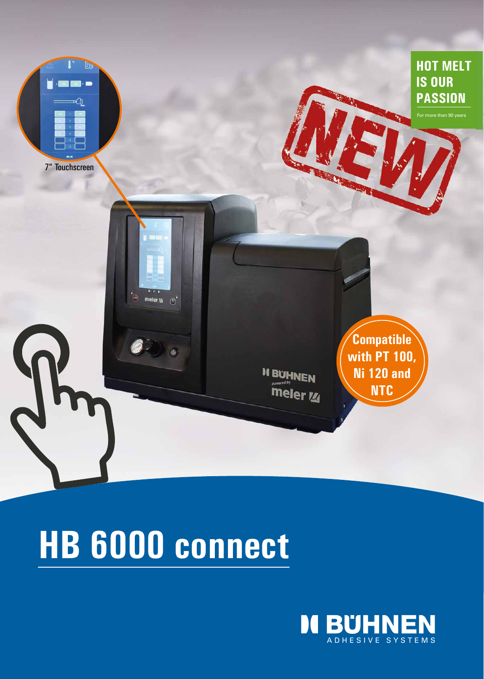

# **HB 6000 connect**